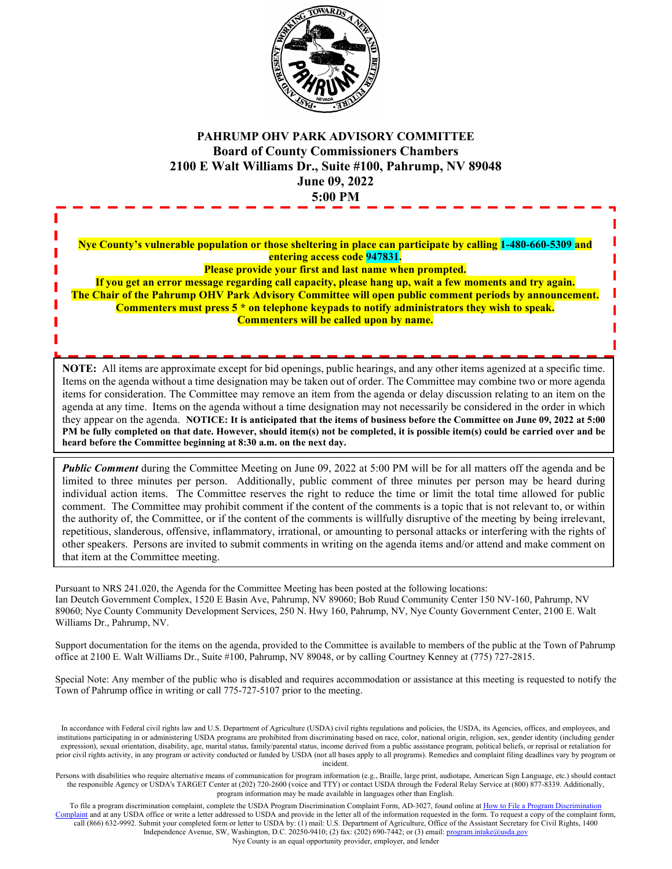

## **PAHRUMP OHV PARK ADVISORY COMMITTEE Board of County Commissioners Chambers 2100 E Walt Williams Dr., Suite #100, Pahrump, NV 89048 June 09, 2022 5:00 PM**

**Nye County's vulnerable population or those sheltering in place can participate by calling 1-480-660-5309 and entering access code 947831. Please provide your first and last name when prompted.**

**If you get an error message regarding call capacity, please hang up, wait a few moments and try again. The Chair of the Pahrump OHV Park Advisory Committee will open public comment periods by announcement. Commenters must press 5 \* on telephone keypads to notify administrators they wish to speak.**

**Commenters will be called upon by name.**

**NOTE:** All items are approximate except for bid openings, public hearings, and any other items agenized at a specific time. Items on the agenda without a time designation may be taken out of order. The Committee may combine two or more agenda items for consideration. The Committee may remove an item from the agenda or delay discussion relating to an item on the agenda at any time. Items on the agenda without a time designation may not necessarily be considered in the order in which they appear on the agenda. **NOTICE: It is anticipated that the items of business before the Committee on June 09, 2022 at 5:00 PM be fully completed on that date. However, should item(s) not be completed, it is possible item(s) could be carried over and be heard before the Committee beginning at 8:30 a.m. on the next day.**

*Public Comment* during the Committee Meeting on June 09, 2022 at 5:00 PM will be for all matters off the agenda and be limited to three minutes per person. Additionally, public comment of three minutes per person may be heard during individual action items. The Committee reserves the right to reduce the time or limit the total time allowed for public comment. The Committee may prohibit comment if the content of the comments is a topic that is not relevant to, or within the authority of, the Committee, or if the content of the comments is willfully disruptive of the meeting by being irrelevant, repetitious, slanderous, offensive, inflammatory, irrational, or amounting to personal attacks or interfering with the rights of other speakers. Persons are invited to submit comments in writing on the agenda items and/or attend and make comment on that item at the Committee meeting.

Pursuant to NRS 241.020, the Agenda for the Committee Meeting has been posted at the following locations: Ian Deutch Government Complex, 1520 E Basin Ave, Pahrump, NV 89060; Bob Ruud Community Center 150 NV-160, Pahrump, NV 89060; Nye County Community Development Services, 250 N. Hwy 160, Pahrump, NV, Nye County Government Center, 2100 E. Walt Williams Dr., Pahrump, NV.

Support documentation for the items on the agenda, provided to the Committee is available to members of the public at the Town of Pahrump office at 2100 E. Walt Williams Dr., Suite #100, Pahrump, NV 89048, or by calling Courtney Kenney at (775) 727-2815.

Special Note: Any member of the public who is disabled and requires accommodation or assistance at this meeting is requested to notify the Town of Pahrump office in writing or call 775-727-5107 prior to the meeting.

In accordance with Federal civil rights law and U.S. Department of Agriculture (USDA) civil rights regulations and policies, the USDA, its Agencies, offices, and employees, and institutions participating in or administering USDA programs are prohibited from discriminating based on race, color, national origin, religion, sex, gender identity (including gender expression), sexual orientation, disability, age, marital status, family/parental status, income derived from a public assistance program, political beliefs, or reprisal or retaliation for prior civil rights activity, in any program or activity conducted or funded by USDA (not all bases apply to all programs). Remedies and complaint filing deadlines vary by program or incident.

Persons with disabilities who require alternative means of communication for program information (e.g., Braille, large print, audiotape, American Sign Language, etc.) should contact the responsible Agency or USDA's TARGET Center at (202) 720-2600 (voice and TTY) or contact USDA through the Federal Relay Service at (800) 877-8339. Additionally, program information may be made available in languages other than English.

To file a program discrimination complaint, complete the USDA Program Discrimination Complaint Form, AD-3027, found online a[t How to File a Program Discrimination](https://www.ascr.usda.gov/how-file-program-discrimination-complaint)  [Complaint](https://www.ascr.usda.gov/how-file-program-discrimination-complaint) and at any USDA office or write a letter addressed to USDA and provide in the letter all of the information requested in the form. To request a copy of the complaint form, call (866) 632-9992. Submit your completed form or letter to USDA by: (1) mail: U.S. Department of Agriculture, Office of the Assistant Secretary for Civil Rights, 1400 Independence Avenue, SW, Washington, D.C. 20250-9410; (2) fax: (202) 690-7442; or (3) email[: program.intake@usda.gov](mailto:program.intake@usda.gov) Nye County is an equal opportunity provider, employer, and lender